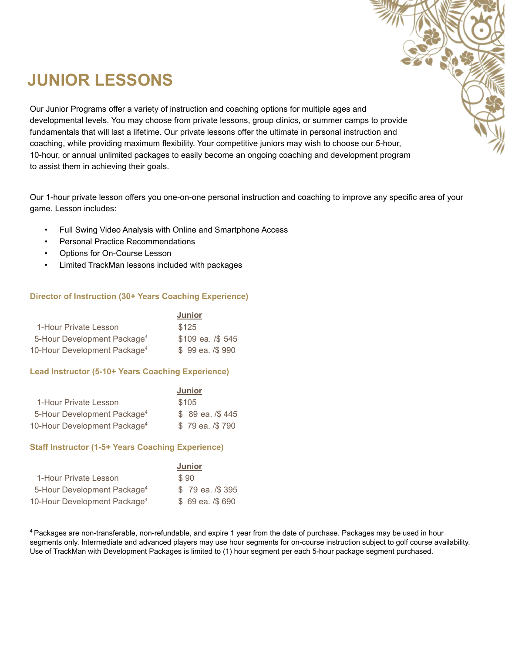## **JUNIOR LESSONS**

Our Junior Programs offer a variety of instruction and coaching options for multiple ages and developmental levels. You may choose from private lessons, group clinics, or summer camps to provide fundamentals that will last a lifetime. Our private lessons offer the ultimate in personal instruction and coaching, while providing maximum flexibility. Your competitive juniors may wish to choose our 5-hour, 10-hour, or annual unlimited packages to easily become an ongoing coaching and development program to assist them in achieving their goals.

Our 1-hour private lesson offers you one-on-one personal instruction and coaching to improve any specific area of your game. Lesson includes:

- Full Swing Video Analysis with Online and Smartphone Access
- Personal Practice Recommendations
- Options for On-Course Lesson
- Limited TrackMan lessons included with packages

### **Director of Instruction (30+ Years Coaching Experience)**

|                                          | <b>Junior</b>     |
|------------------------------------------|-------------------|
| 1-Hour Private Lesson                    | \$125             |
| 5-Hour Development Package <sup>4</sup>  | \$109 ea. /\$ 545 |
| 10-Hour Development Package <sup>4</sup> | $$99$ ea. $/$990$ |

### **Lead Instructor (5-10+ Years Coaching Experience)**

|                                          | <b>Junior</b>     |
|------------------------------------------|-------------------|
| 1-Hour Private Lesson                    | \$105             |
| 5-Hour Development Package <sup>4</sup>  | $$89$ ea. $/$445$ |
| 10-Hour Development Package <sup>4</sup> | \$79 ea. /\$790   |

### **Staff Instructor (1-5+ Years Coaching Experience)**

|                                          | <b>Junior</b>     |
|------------------------------------------|-------------------|
| 1-Hour Private Lesson                    | \$90              |
| 5-Hour Development Package <sup>4</sup>  | \$79 ea. /\$395   |
| 10-Hour Development Package <sup>4</sup> | $$69$ ea. $/$690$ |

<sup>4</sup> Packages are non-transferable, non-refundable, and expire 1 year from the date of purchase. Packages may be used in hour segments only. Intermediate and advanced players may use hour segments for on-course instruction subject to golf course availability. Use of TrackMan with Development Packages is limited to (1) hour segment per each 5-hour package segment purchased.